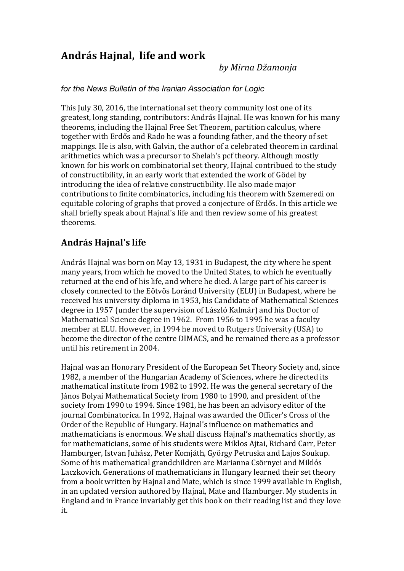## **András Hajnal, life and work**

by Mirna Džamonja

## *for the News Bulletin of the Iranian Association for Logic*

This July 30, 2016, the international set theory community lost one of its greatest, long standing, contributors: András Hajnal. He was known for his many theorems, including the Hajnal Free Set Theorem, partition calculus, where together with Erdős and Rado he was a founding father, and the theory of set mappings. He is also, with Galvin, the author of a celebrated theorem in cardinal arithmetics which was a precursor to Shelah's pcf theory. Although mostly known for his work on combinatorial set theory, Hajnal contribued to the study of constructibility, in an early work that extended the work of Gödel by introducing the idea of relative constructibility. He also made major contributions to finite combinatorics, including his theorem with Szemeredi on equitable coloring of graphs that proved a conjecture of Erdős. In this article we shall briefly speak about Hajnal's life and then review some of his greatest theorems.

## **András Hajnal's life**

András Hajnal was born on May 13, 1931 in Budapest, the city where he spent many years, from which he moved to the United States, to which he eventually returned at the end of his life, and where he died. A large part of his career is closely connected to the Eötvös Loránd University (ELU) in Budapest, where he received his university diploma in 1953, his Candidate of Mathematical Sciences degree in 1957 (under the supervision of László Kalmár) and his Doctor of Mathematical Science degree in 1962. From 1956 to 1995 he was a faculty member at ELU. However, in 1994 he moved to Rutgers University (USA) to become the director of the centre DIMACS, and he remained there as a professor until his retirement in 2004.

Hajnal was an Honorary President of the European Set Theory Society and, since 1982, a member of the Hungarian Academy of Sciences, where he directed its mathematical institute from 1982 to 1992. He was the general secretary of the János Bolyai Mathematical Society from 1980 to 1990, and president of the society from 1990 to 1994. Since 1981, he has been an advisory editor of the journal Combinatorica. In 1992, Hajnal was awarded the Officer's Cross of the Order of the Republic of Hungary. Hajnal's influence on mathematics and mathematicians is enormous. We shall discuss Hajnal's mathematics shortly, as for mathematicians, some of his students were Miklos Aitai, Richard Carr, Peter Hamburger, Istvan Juhász, Peter Komjáth, György Petruska and Lajos Soukup. Some of his mathematical grandchildren are Marianna Csörnyei and Miklós Laczkovich. Generations of mathematicians in Hungary learned their set theory from a book written by Hajnal and Mate, which is since 1999 available in English, in an updated version authored by Hajnal, Mate and Hamburger. My students in England and in France invariably get this book on their reading list and they love it.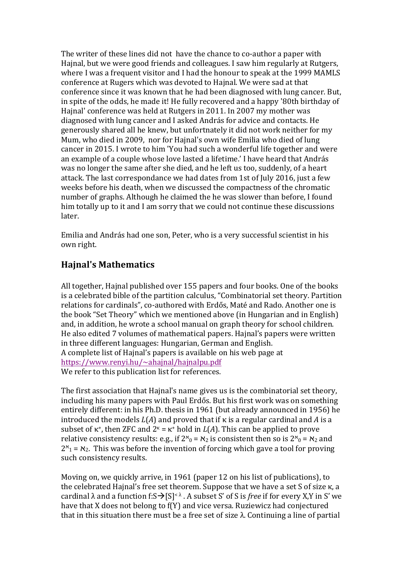The writer of these lines did not have the chance to co-author a paper with Hajnal, but we were good friends and colleagues. I saw him regularly at Rutgers, where I was a frequent visitor and I had the honour to speak at the 1999 MAMLS conference at Rugers which was devoted to Hajnal. We were sad at that conference since it was known that he had been diagnosed with lung cancer. But, in spite of the odds, he made it! He fully recovered and a happy '80th birthday of Hajnal' conference was held at Rutgers in 2011. In 2007 my mother was diagnosed with lung cancer and I asked András for advice and contacts. He generously shared all he knew, but unfortnately it did not work neither for my Mum, who died in 2009, nor for Hajnal's own wife Emilia who died of lung cancer in 2015. I wrote to him 'You had such a wonderful life together and were an example of a couple whose love lasted a lifetime.' I have heard that András was no longer the same after she died, and he left us too, suddenly, of a heart attack. The last correspondance we had dates from 1st of July 2016, just a few weeks before his death, when we discussed the compactness of the chromatic number of graphs. Although he claimed the he was slower than before. I found him totally up to it and I am sorry that we could not continue these discussions later.

Emilia and András had one son, Peter, who is a very successful scientist in his own right.

## **Hajnal's Mathematics**

All together, Hajnal published over 155 papers and four books. One of the books is a celebrated bible of the partition calculus, "Combinatorial set theory. Partition relations for cardinals", co-authored with Erdős, Maté and Rado. Another one is the book "Set Theory" which we mentioned above (in Hungarian and in English) and, in addition, he wrote a school manual on graph theory for school children. He also edited 7 volumes of mathematical papers. Hajnal's papers were written in three different languages: Hungarian, German and English. A complete list of Hajnal's papers is available on his web page at https://www.renyi.hu/~ahajnal/hajnalpu.pdf We refer to this publication list for references.

The first association that Hajnal's name gives us is the combinatorial set theory, including his many papers with Paul Erdős. But his first work was on something entirely different: in his Ph.D. thesis in 1961 (but already announced in 1956) he introduced the models  $L(A)$  and proved that if  $\kappa$  is a regular cardinal and A is a subset of  $\kappa^+$ , then ZFC and  $2^k = \kappa^+$  hold in  $L(A)$ . This can be applied to prove relative consistency results: e.g., if  $2^{\kappa}$ <sub>0</sub> =  $\kappa$ <sub>2</sub> is consistent then so is  $2^{\kappa}$ <sub>0</sub> =  $\kappa$ <sub>2</sub> and  $2<sup>κ</sup>$ <sub>1</sub> =  $<sup>κ</sup>$ <sub>2</sub>. This was before the invention of forcing which gave a tool for proving</sup> such consistency results.

Moving on, we quickly arrive, in 1961 (paper 12 on his list of publications), to the celebrated Hajnal's free set theorem. Suppose that we have a set  $S$  of size  $\kappa$ , a cardinal  $\lambda$  and a function f:S $\rightarrow$ [S]< $\lambda$ . A subset S' of S is *free* if for every X,Y in S' we have that X does not belong to  $f(Y)$  and vice versa. Ruziewicz had conjectured that in this situation there must be a free set of size  $\lambda$ . Continuing a line of partial